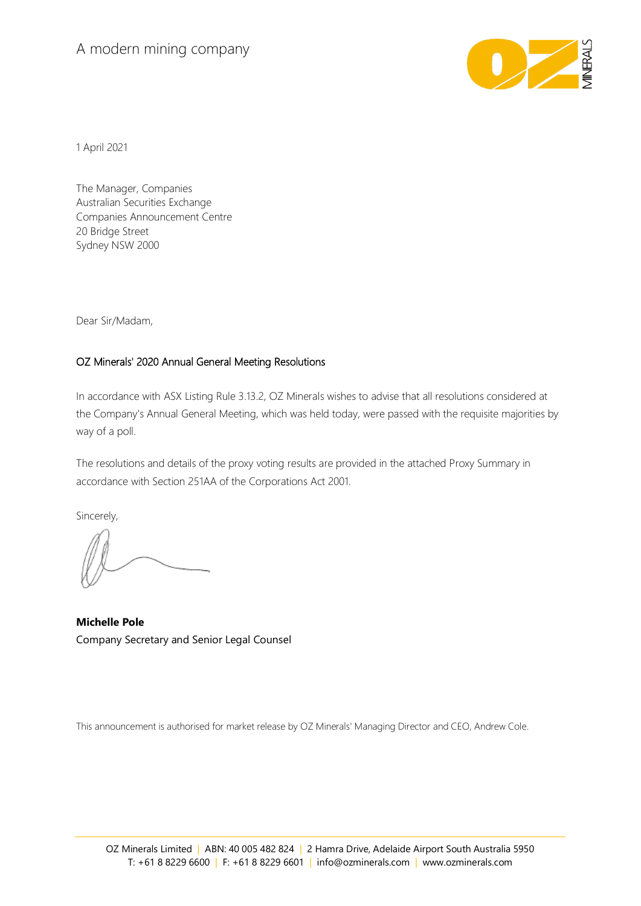## A modern mining company



1 April 2021

The Manager, Companies Australian Securities Exchange Companies Announcement Centre 20 Bridge Street Sydney NSW 2000

Dear Sir/Madam,

## OZ Minerals' 2020 Annual General Meeting Resolutions

In accordance with ASX Listing Rule 3.13.2, OZ Minerals wishes to advise that all resolutions considered at the Company's Annual General Meeting, which was held today, were passed with the requisite majorities by way of a poll.

The resolutions and details of the proxy voting results are provided in the attached Proxy Summary in accordance with Section 251AA of the Corporations Act 2001.

Sincerely,

**Michelle Pole** Company Secretary and Senior Legal Counsel

This announcement is authorised for market release by OZ Minerals' Managing Director and CEO, Andrew Cole.